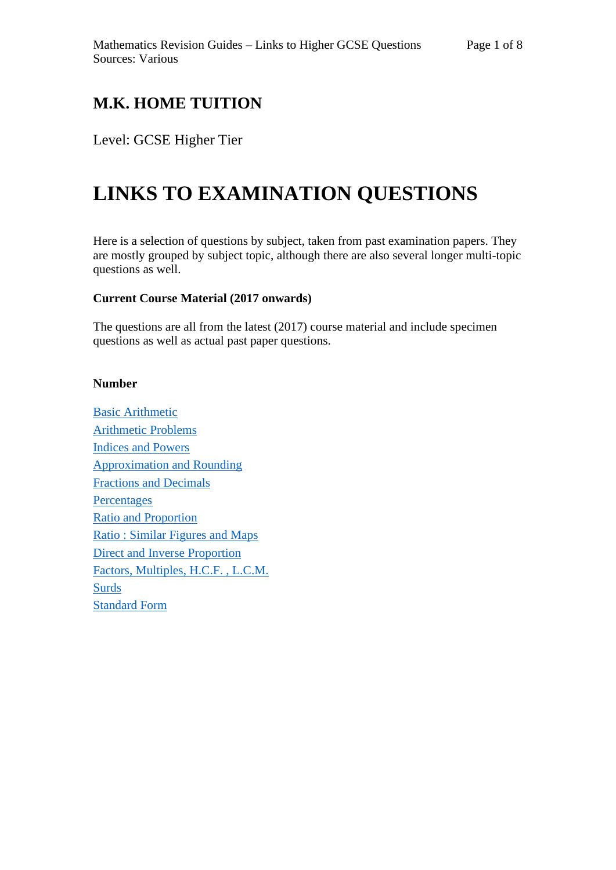## **M.K. HOME TUITION**

### Level: GCSE Higher Tier

# **LINKS TO EXAMINATION QUESTIONS**

Here is a selection of questions by subject, taken from past examination papers. They are mostly grouped by subject topic, although there are also several longer multi-topic questions as well.

#### **Current Course Material (2017 onwards)**

The questions are all from the latest (2017) course material and include specimen questions as well as actual past paper questions.

#### **Number**

[Basic Arithmetic](http://mkhometuition.co.uk/index_files/Questions/GH2-100%20Basic%20Arithmetic.pdf) [Arithmetic Problems](http://mkhometuition.co.uk/index_files/Questions/GH2-101%20Arithmetic%20Problem%20Solving.pdf)  [Indices and Powers](http://mkhometuition.co.uk/index_files/Questions/GH2-102%20Indices.pdf) [Approximation and Rounding](http://mkhometuition.co.uk/index_files/Questions/GH2-103%20Approximation.pdf) [Fractions and Decimals](http://mkhometuition.co.uk/index_files/Questions/GH2-104%20Fractions%20and%20Decimals.pdf) **[Percentages](http://mkhometuition.co.uk/index_files/Questions/GH2-105%20Percentages.pdf)** [Ratio and Proportion](http://mkhometuition.co.uk/index_files/Questions/GH2-106%20Ratio%20and%20Proportion.pdf) [Ratio : Similar Figures and Maps](http://mkhometuition.co.uk/index_files/Questions/GH2-107%20Ratio%20Similar%20Figures%20Maps.pdf) Direct and Inverse [Proportion](http://mkhometuition.co.uk/index_files/Questions/GH2-206%20Direct%20and%20Inverse%20Proportion.pdf) [Factors, Multiples, H.C.F. , L.C.M.](http://mkhometuition.co.uk/index_files/Questions/GH2-108%20Factors%20Multiple%20HCF%20LCM.pdf) [Surds](http://mkhometuition.co.uk/index_files/Questions/GH2-109%20Surds.pdf) [Standard Form](http://mkhometuition.co.uk/index_files/Questions/GH2-110%20Standard%20Form.pdf)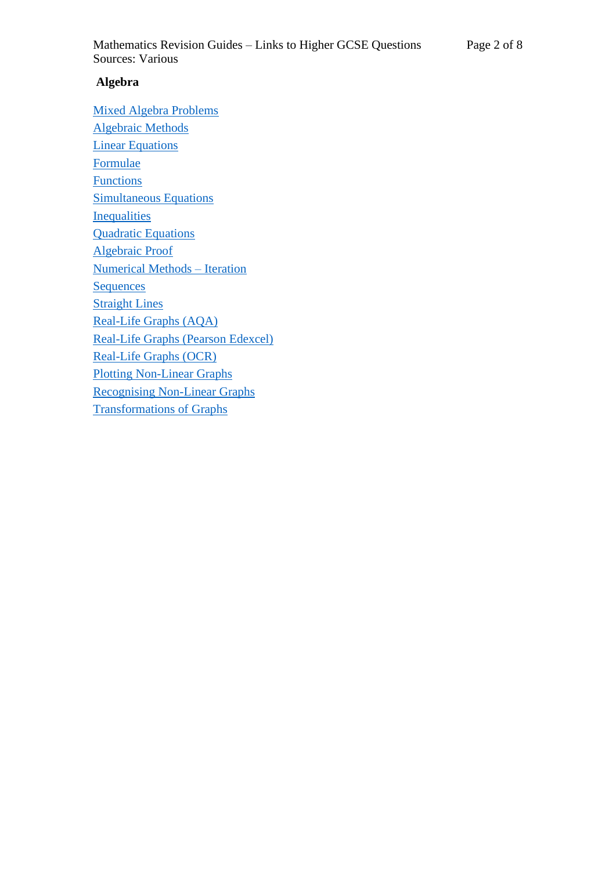#### **Algebra**

[Mixed Algebra Problems](http://mkhometuition.co.uk/index_files/Questions/GH2-200%20Mixed%20Algebra%20Problems.pdf) [Algebraic Methods](http://mkhometuition.co.uk/index_files/Questions/GH2-201%20Algebraic%20Methods.pdf) **[Linear Equations](http://mkhometuition.co.uk/index_files/Questions/GH2-203%20Linear%20Equations.pdf)** [Formulae](http://mkhometuition.co.uk/index_files/Questions/GH2-204%20Formulae.pdf) **[Functions](http://mkhometuition.co.uk/index_files/Questions/GH2-205%20Functions.pdf)** [Simultaneous Equations](http://mkhometuition.co.uk/index_files/Questions/GH2-207%20Simultaneous%20Equations.pdf) **[Inequalities](http://mkhometuition.co.uk/index_files/Questions/GH2-208%20Inequalities.pdf)** [Quadratic Equations](http://mkhometuition.co.uk/index_files/Questions/GH2-209%20Quadratic%20Equations.pdf) [Algebraic Proof](http://mkhometuition.co.uk/index_files/Questions/GH2-210%20Algebraic%20Proof.pdf) [Numerical Methods –](http://mkhometuition.co.uk/index_files/Questions/GH2-211%20Numerical%20Methods%20Iteration.pdf) Iteration **[Sequences](http://mkhometuition.co.uk/index_files/Questions/GH2-212%20Sequences.pdf) [Straight Lines](http://mkhometuition.co.uk/index_files/Questions/GH2-213%20Straight%20Lines.pdf)** [Real-Life Graphs](http://mkhometuition.co.uk/index_files/Questions/GH2-214%20Real%20Life%20Graphs_AQA.pdf) (AQA) [Real-Life Graphs \(Pearson](http://mkhometuition.co.uk/index_files/Questions/GH2-214%20Real%20Life%20Graphs_Edexcel.pdf) Edexcel) [Real-Life Graphs \(OCR\)](http://mkhometuition.co.uk/index_files/Questions/GH2-214%20Real%20Life%20Graphs_OCR.pdf) [Plotting Non-Linear Graphs](http://mkhometuition.co.uk/index_files/Questions/GH2-215%20Plotting%20Non%20Linear%20Graphs.pdf) [Recognising Non-Linear Graphs](http://mkhometuition.co.uk/index_files/Questions/GH2-216%20Recognising%20Non%20Linear%20Graphs.pdf) [Transformations of Graphs](http://mkhometuition.co.uk/index_files/Questions/GH2-217%20Transformations%20of%20Graphs.pdf)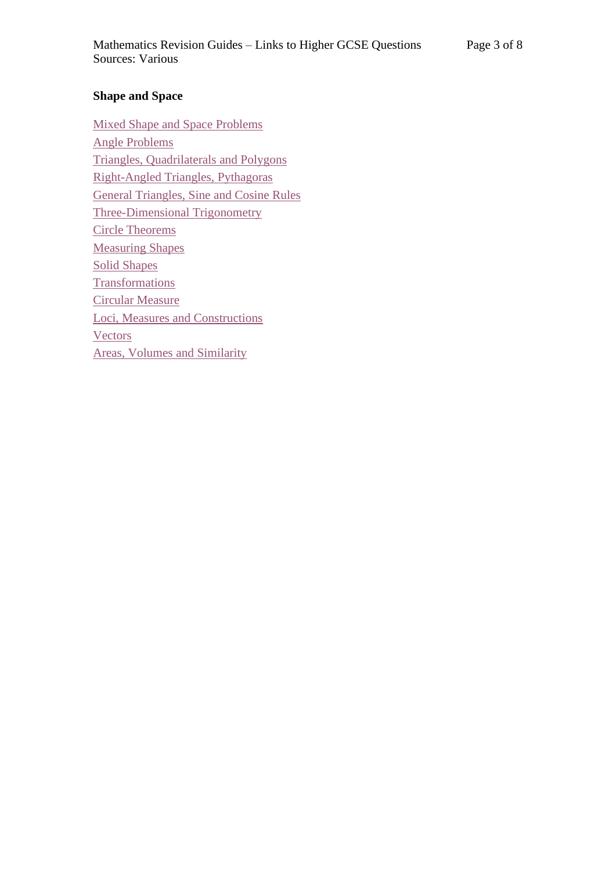#### **Shape and Space**

[Mixed Shape and Space Problems](http://mkhometuition.co.uk/index_files/Questions/GH2-300%20Shape%20and%20Space%20Problem%20Solving.pdf) [Angle Problems](http://mkhometuition.co.uk/index_files/Questions/GH2-301%20Angle%20Problems.pdf) [Triangles, Quadrilaterals](http://mkhometuition.co.uk/index_files/Questions/GH2-302%20Triangles%20Quadrilaterals%20Polygons.pdf) and Polygons [Right-Angled Triangles, Pythagoras](http://mkhometuition.co.uk/index_files/Questions/GH2-303%20Trig%20Pythagoras%20SOHCAHTOA.pdf) General Triangles, [Sine and Cosine Rules](http://mkhometuition.co.uk/index_files/Questions/GH2-304%20Trig%20General%20Triangles%20Sine%20and%20Cosine%20Rules%20.pdf) [Three-Dimensional](http://mkhometuition.co.uk/index_files/Questions/GH2-305%20Three%20Dee%20Trig.pdf) Trigonometry [Circle Theorems](http://mkhometuition.co.uk/index_files/Questions/GH2-306%20Circle%20Theorems.pdf) [Measuring Shapes](http://mkhometuition.co.uk/index_files/Questions/GH2-307%20Measuring%20Shapes.pdf) [Solid Shapes](http://mkhometuition.co.uk/index_files/Questions/GH2-308%20Solid%20Shapes.pdf) **[Transformations](http://mkhometuition.co.uk/index_files/Questions/GH2-309%20Transformations.pdf)** [Circular Measure](http://mkhometuition.co.uk/index_files/Questions/GH2-311%20Circular%20Measure.pdf) [Loci, Measures and Constructions](http://mkhometuition.co.uk/index_files/Questions/GH2-312%20Loci%20Measures%20and%20Constructions.pdf) **[Vectors](http://mkhometuition.co.uk/index_files/Questions/GH2-313%20Vectors.pdf)** [Areas, Volumes and Similarity](http://mkhometuition.co.uk/index_files/Questions/GH2-314%20Areas%20Volumes%20Similarity.pdf)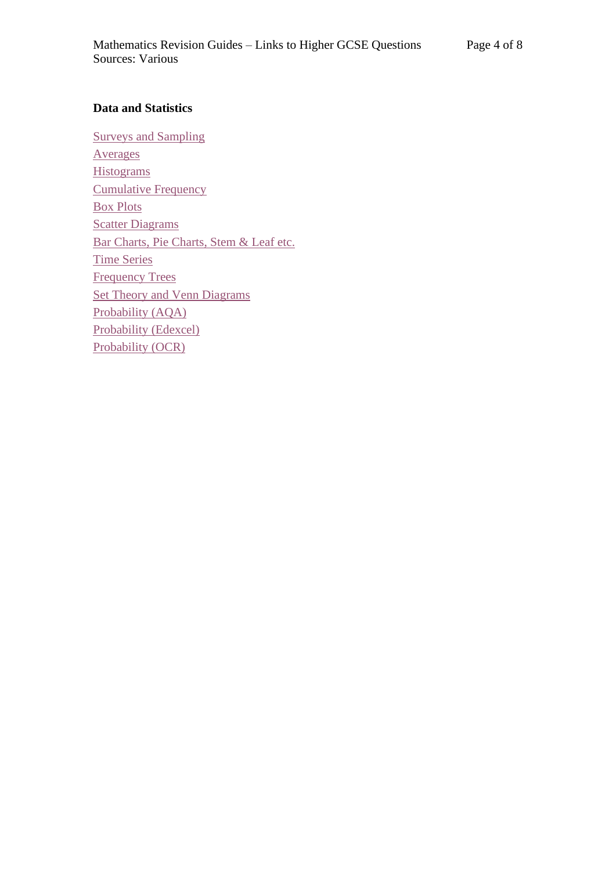#### **Data and Statistics**

[Surveys and Sampling](http://mkhometuition.co.uk/index_files/Questions/GH2-401%20Surveys%20and%20Sampling.pdf) [Averages](http://mkhometuition.co.uk/index_files/Questions/GH2-402%20Averages.pdf) **[Histograms](http://mkhometuition.co.uk/index_files/Questions/GH2-403%20Histograms.pdf)** [Cumulative Frequency](http://mkhometuition.co.uk/index_files/Questions/GH2-404%20Cumulative%20Frequency.pdf) [Box Plots](http://mkhometuition.co.uk/index_files/Questions/GH2-405%20BoxPlots.pdf) **[Scatter Diagrams](http://mkhometuition.co.uk/index_files/Questions/GH2-406%20Scatter%20Diagrams.pdf)** [Bar Charts, Pie Charts, Stem &](http://mkhometuition.co.uk/index_files/Questions/GH2-407%20Bar%20Pie%20Stem%20and%20Leaf%20etc.pdf) Leaf etc. [Time Series](http://mkhometuition.co.uk/index_files/Questions/GH2-408%20Time%20Series.pdf) [Frequency Trees](http://mkhometuition.co.uk/index_files/Questions/GH2-409%20Frequency%20Trees.pdf) [Set Theory and Venn Diagrams](http://mkhometuition.co.uk/index_files/Questions/GH2-410%20Set%20Theory%20and%20Venn%20Diagrams.pdf) [Probability \(AQA\)](http://mkhometuition.co.uk/index_files/Questions/GH2-411%20Probability_AQA.pdf) [Probability](http://mkhometuition.co.uk/index_files/Questions/GH2-411%20Probability_Edexcel.pdf) (Edexcel) [Probability \(OCR\)](http://mkhometuition.co.uk/index_files/Questions/GH2-411%20Probability_OCR.pdf)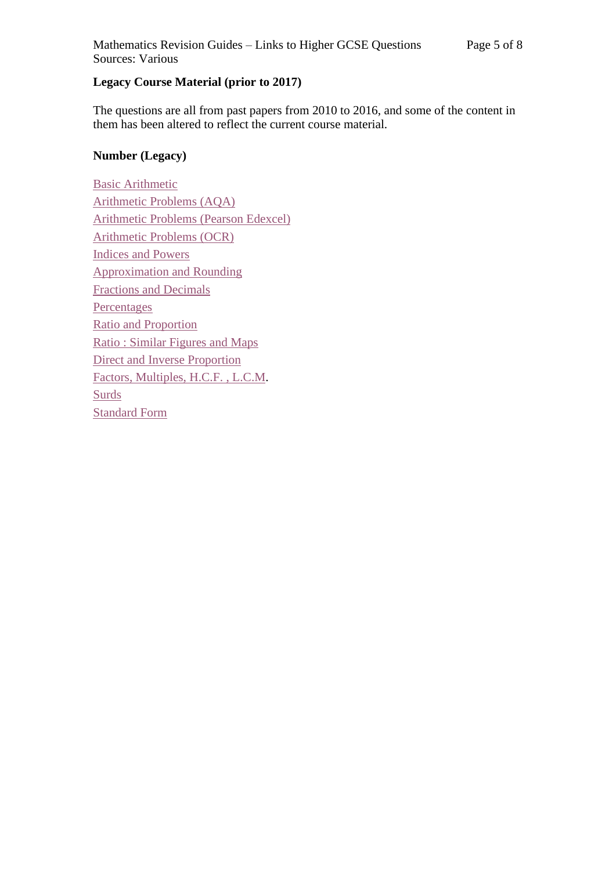#### **Legacy Course Material (prior to 2017)**

The questions are all from past papers from 2010 to 2016, and some of the content in them has been altered to reflect the current course material.

#### **Number (Legacy)**

[Basic Arithmetic](http://mkhometuition.co.uk/index_files/Questions/GH1-100_Basic_Arithmetic.pdf) [Arithmetic Problems \(AQA\)](http://mkhometuition.co.uk/index_files/Questions/GH1-101_Arithmetic_Problems_AQA.pdf) [Arithmetic Problems \(Pearson Edexcel\)](http://mkhometuition.co.uk/index_files/Questions/GH1-101_Arithmetic_Problems_Edexcel.pdf) [Arithmetic Problems \(OCR\)](http://mkhometuition.co.uk/index_files/Questions/GH1-101_Arithmetic_Problems_OCR.pdf) [Indices and Powers](http://mkhometuition.co.uk/index_files/Questions/GH1-102_Indices.pdf) [Approximation and Rounding](http://mkhometuition.co.uk/index_files/Questions/GH1-103_Approximation.pdf) [Fractions and Decimals](http://mkhometuition.co.uk/index_files/Questions/GH1-104_Fractions.pdf) **[Percentages](http://mkhometuition.co.uk/index_files/Questions/GH1-105_Percentages.pdf)** [Ratio and Proportion](http://mkhometuition.co.uk/index_files/Questions/GH1-106_Ratio_and_Proportion.pdf) [Ratio : Similar Figures and Maps](http://mkhometuition.co.uk/index_files/Questions/GH1-106_Ratio_similar_figures.pdf) [Direct and Inverse Proportion](http://mkhometuition.co.uk/index_files/Questions/GH1-206_Direct_and_Inverse_Proportion.pdf) [Factors, Multiples, H.C.F. , L.C.M.](http://mkhometuition.co.uk/index_files/Questions/GH1-107_Factors_Primes_HCF_LCM.pdf) [Surds](http://mkhometuition.co.uk/index_files/Questions/GH1-108_Surds.pdf) [Standard Form](http://mkhometuition.co.uk/index_files/Questions/GH1-109_Standard_Form.pdf)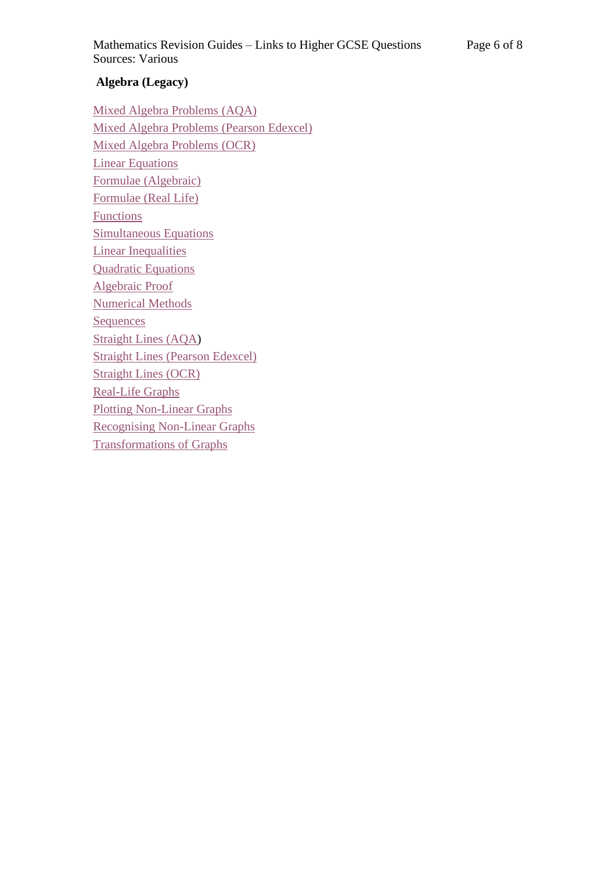#### **Algebra (Legacy)**

[Mixed Algebra Problems](http://mkhometuition.co.uk/index_files/Questions/GH1-200_Mixed_Algebra_AQA.pdf) (AQA) [Mixed Algebra Problems](http://mkhometuition.co.uk/index_files/Questions/GH1-200_Mixed_Algebra_Edexcel.pdf) (Pearson Edexcel) [Mixed Algebra Problems](http://mkhometuition.co.uk/index_files/Questions/GH1-200_Mixed_Algebra_OCR.pdf) (OCR) [Linear Equations](http://mkhometuition.co.uk/index_files/Questions/GH1-203_Linear_Equations.pdf) [Formulae \(Algebraic\)](http://mkhometuition.co.uk/index_files/Questions/GH1-204_Formulae_Algebraic.pdf) [Formulae \(Real Life\)](http://mkhometuition.co.uk/index_files/Questions/GH1-204_Formulae_Real_Life.pdf) **[Functions](http://mkhometuition.co.uk/index_files/Questions/GH1-202_Functions.pdf)** [Simultaneous Equations](http://mkhometuition.co.uk/index_files/Questions/GH1-207_Simultaneous_Equations.pdf) [Linear Inequalities](http://mkhometuition.co.uk/index_files/Questions/GH1-208_Linear_Inequalities.pdf) [Quadratic Equations](http://mkhometuition.co.uk/index_files/Questions/GH1-209_Quadratic_Equations.pdf) [Algebraic Proof](http://mkhometuition.co.uk/index_files/Questions/GH1-210_Algebraic_Proof.pdf) [Numerical Methods](http://mkhometuition.co.uk/index_files/Questions/GH1-211_Numerical_Methods.pdf) **[Sequences](http://mkhometuition.co.uk/index_files/Questions/GH1-212_Sequences.pdf)** [Straight Lines](http://mkhometuition.co.uk/index_files/Questions/GH1-213_Straight_Lines_AQA.pdf) (AQA) Straight Lines [\(Pearson Edexcel\)](http://mkhometuition.co.uk/index_files/Questions/GH1-213_Straight_Lines_Edexcel.pdf) [Straight Lines \(OCR\)](http://mkhometuition.co.uk/index_files/Questions/GH1-213_Straight_Lines_OCR.pdf) [Real-Life Graphs](http://mkhometuition.co.uk/index_files/Questions/GH1-214_Real_Life_Graphs.pdf) [Plotting Non-Linear Graphs](http://mkhometuition.co.uk/index_files/Questions/GH1-215_1_Plotting_Graphs_of_Functions.pdf) [Recognising Non-Linear Graphs](http://mkhometuition.co.uk/index_files/Questions/GH1-215_2_Recognising_and_Using_Graphs_of_Functions.pdf) [Transformations of Graphs](http://mkhometuition.co.uk/index_files/Questions/GH1-216_Transforming_Graphs.pdf)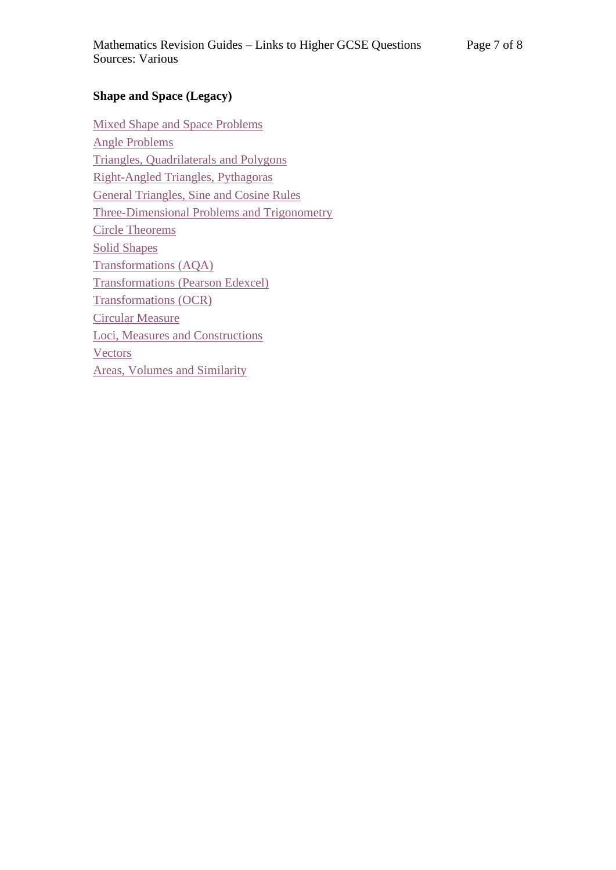#### **Shape and Space (Legacy)**

[Mixed Shape and Space Problems](http://mkhometuition.co.uk/index_files/Questions/GH1-300_Shape_and_Space_Omnibus.pdf) [Angle Problems](http://mkhometuition.co.uk/index_files/Questions/GH1-301_Angle_Problems.pdf) [Triangles, Quadrilaterals](http://mkhometuition.co.uk/index_files/Questions/GH1-302_Triangles_and_Quads.pdf) and Polygons [Right-Angled Triangles, Pythagoras](http://mkhometuition.co.uk/index_files/Questions/GH1-303_Right_Angled_Triangles.pdf) General Triangles, [Sine and Cosine Rules](http://mkhometuition.co.uk/index_files/Questions/GH1-304_General_Triangles.pdf) Three-Dimensional [Problems and Trigonometry](http://mkhometuition.co.uk/index_files/Questions/GH1-303_3_Three_D_Problems.pdf) [Circle Theorems](http://mkhometuition.co.uk/index_files/Questions/GH1-305_Circle_Theorems.pdf) [Solid Shapes](http://mkhometuition.co.uk/index_files/Questions/GH1-306_Solid_Shapes.pdf) [Transformations \(AQA\)](http://mkhometuition.co.uk/index_files/Questions/GH1-307_Transformations_AQA.pdf) Transformations [\(Pearson Edexcel\)](http://mkhometuition.co.uk/index_files/Questions/GH1-307_Transformations_Edexcel.pdf) [Transformations \(OCR\)](http://mkhometuition.co.uk/index_files/Questions/GH1-307_Transformations_OCR.pdf) [Circular Measure](http://mkhometuition.co.uk/index_files/Questions/GH1-311_Circular_Measure.pdf) [Loci, Measures and Constructions](http://mkhometuition.co.uk/index_files/Questions/GH1-310_Loci_Measures_and_Constructions.pdf) **[Vectors](http://mkhometuition.co.uk/index_files/Questions/GH1-309_Vectors.pdf)** [Areas, Volumes and Similarity](http://mkhometuition.co.uk/index_files/Questions/GH1-310_Areas_Volumes_Similarity.pdf)